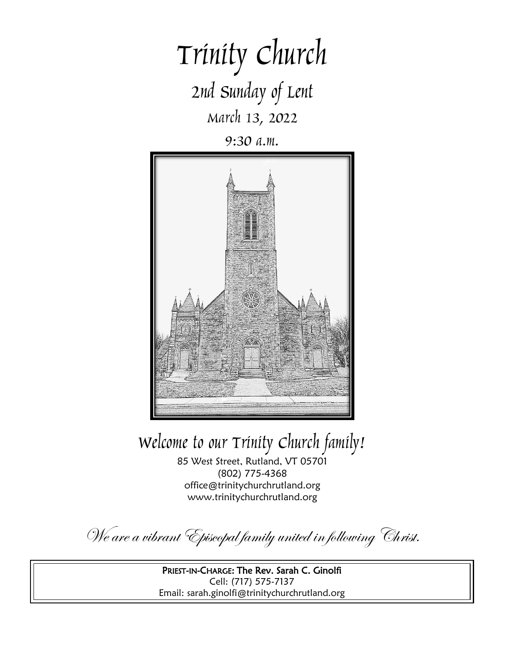# Trinity Church 2nd Sunday of Lent March 13, 2022

9:30 a.m.



Welcome to our Trinity Church family!

85 West Street, Rutland, VT 05701 (802) 775-4368 office@trinitychurchrutland.org www.trinitychurchrutland.org

We are a vibrant Episcopal family united in following Christ.

PRIEST-IN-CHARGE: The Rev. Sarah C. Ginolfi Cell: (717) 575-7137 Email: sarah.ginolfi@trinitychurchrutland.org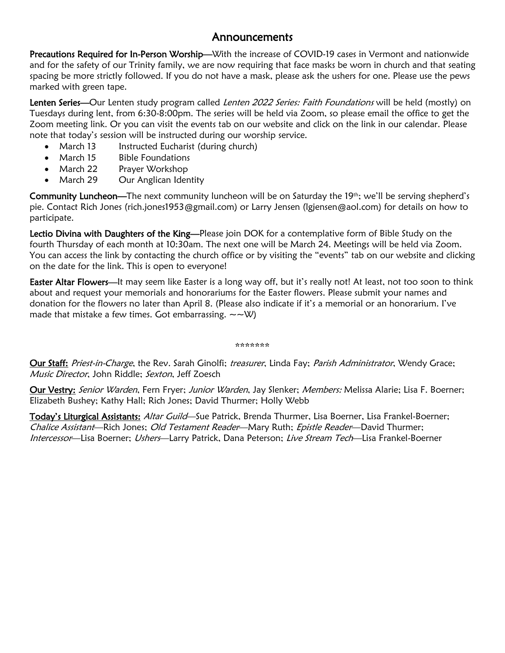### Announcements

Precautions Required for In-Person Worship—With the increase of COVID-19 cases in Vermont and nationwide and for the safety of our Trinity family, we are now requiring that face masks be worn in church and that seating spacing be more strictly followed. If you do not have a mask, please ask the ushers for one. Please use the pews marked with green tape.

Lenten Series—Our Lenten study program called Lenten 2022 Series: Faith Foundations will be held (mostly) on Tuesdays during lent, from 6:30-8:00pm. The series will be held via Zoom, so please email the office to get the Zoom meeting link. Or you can visit the events tab on our website and click on the link in our calendar. Please note that today's session will be instructed during our worship service.

- March 13 Instructed Eucharist (during church)
- March 15 Bible Foundations
- March 22 Prayer Workshop
- March 29 Our Anglican Identity

Community Luncheon—The next community luncheon will be on Saturday the 19th; we'll be serving shepherd's pie. Contact Rich Jones (rich.jones1953@gmail.com) or Larry Jensen (lgjensen@aol.com) for details on how to participate.

Lectio Divina with Daughters of the King—Please join DOK for a contemplative form of Bible Study on the fourth Thursday of each month at 10:30am. The next one will be March 24. Meetings will be held via Zoom. You can access the link by contacting the church office or by visiting the "events" tab on our website and clicking on the date for the link. This is open to everyone!

Easter Altar Flowers—It may seem like Easter is a long way off, but it's really not! At least, not too soon to think about and request your memorials and honorariums for the Easter flowers. Please submit your names and donation for the flowers no later than April 8. (Please also indicate if it's a memorial or an honorarium. I've made that mistake a few times. Got embarrassing.  $\sim \sim \mathcal{W}$ )

#### \*\*\*\*\*\*\*

Our Staff: Priest-in-Charge, the Rev. Sarah Ginolfi; treasurer, Linda Fay; Parish Administrator, Wendy Grace; Music Director, John Riddle; Sexton, Jeff Zoesch

Our Vestry: Senior Warden, Fern Fryer; Junior Warden, Jay Slenker; Members: Melissa Alarie; Lisa F. Boerner; Elizabeth Bushey; Kathy Hall; Rich Jones; David Thurmer; Holly Webb

Today's Liturgical Assistants: Altar Guild—Sue Patrick, Brenda Thurmer, Lisa Boerner, Lisa Frankel-Boerner; Chalice Assistant—Rich Jones; Old Testament Reader—Mary Ruth; Epistle Reader—David Thurmer; Intercessor—Lisa Boerner; Ushers—Larry Patrick, Dana Peterson; Live Stream Tech—Lisa Frankel-Boerner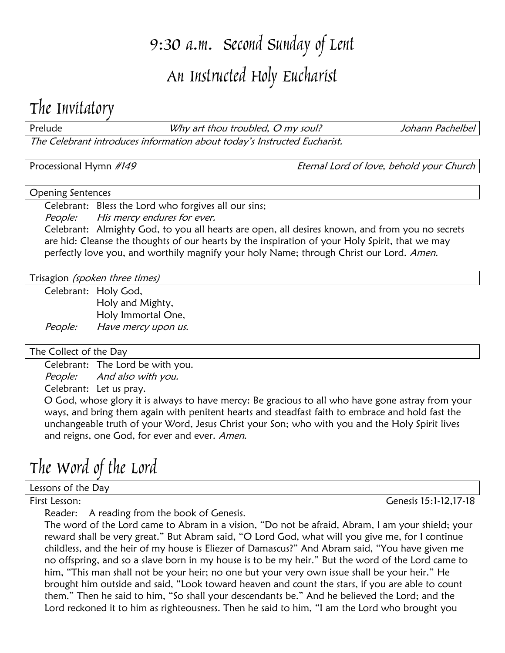# 9:30 a.m. Second Sunday of Lent An Instructed Holy Eucharist

### The Invitatory

Prelude **The Control of the UV** art thou troubled, O my soul? Submananter than the Uphann Pachelbel The Celebrant introduces information about today's Instructed Eucharist.

Processional Hymn #149 **Eternal Lord of love**, behold your Church

#### Opening Sentences

Celebrant: Bless the Lord who forgives all our sins;

People: His mercy endures for ever.

Celebrant: Almighty God, to you all hearts are open, all desires known, and from you no secrets are hid: Cleanse the thoughts of our hearts by the inspiration of your Holy Spirit, that we may perfectly love you, and worthily magnify your holy Name; through Christ our Lord. Amen.

Trisagion *(spoken three times)* 

Celebrant: Holy God, Holy and Mighty, Holy Immortal One, People: Have mercy upon us.

### The Collect of the Day

Celebrant: The Lord be with you.

People: And also with you.

Celebrant: Let us pray.

O God, whose glory it is always to have mercy: Be gracious to all who have gone astray from your ways, and bring them again with penitent hearts and steadfast faith to embrace and hold fast the unchangeable truth of your Word, Jesus Christ your Son; who with you and the Holy Spirit lives and reigns, one God, for ever and ever. Amen.

## The Word of the Lord

Lessons of the Day

Reader: A reading from the book of Genesis.

The word of the Lord came to Abram in a vision, "Do not be afraid, Abram, I am your shield; your reward shall be very great." But Abram said, "O Lord God, what will you give me, for I continue childless, and the heir of my house is Eliezer of Damascus?" And Abram said, "You have given me no offspring, and so a slave born in my house is to be my heir." But the word of the Lord came to him, "This man shall not be your heir; no one but your very own issue shall be your heir." He brought him outside and said, "Look toward heaven and count the stars, if you are able to count them." Then he said to him, "So shall your descendants be." And he believed the Lord; and the Lord reckoned it to him as righteousness. Then he said to him, "I am the Lord who brought you

First Lesson: Genesis 15:1-12,17-18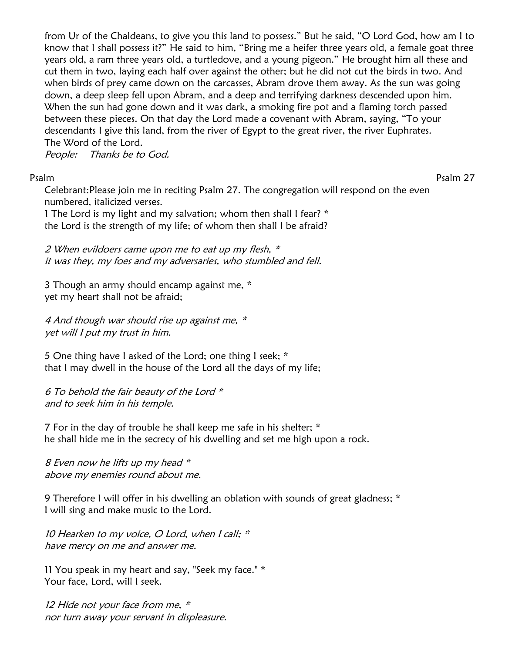from Ur of the Chaldeans, to give you this land to possess." But he said, "O Lord God, how am I to know that I shall possess it?" He said to him, "Bring me a heifer three years old, a female goat three years old, a ram three years old, a turtledove, and a young pigeon." He brought him all these and cut them in two, laying each half over against the other; but he did not cut the birds in two. And when birds of prey came down on the carcasses, Abram drove them away. As the sun was going down, a deep sleep fell upon Abram, and a deep and terrifying darkness descended upon him. When the sun had gone down and it was dark, a smoking fire pot and a flaming torch passed between these pieces. On that day the Lord made a covenant with Abram, saying, "To your descendants I give this land, from the river of Egypt to the great river, the river Euphrates. The Word of the Lord.

People: Thanks be to God.

Psalm Psalm 27

Celebrant:Please join me in reciting Psalm 27. The congregation will respond on the even numbered, italicized verses.

1 The Lord is my light and my salvation; whom then shall I fear? \* the Lord is the strength of my life; of whom then shall I be afraid?

2 When evildoers came upon me to eat up my flesh, \* it was they, my foes and my adversaries, who stumbled and fell.

3 Though an army should encamp against me, \* yet my heart shall not be afraid;

4 And though war should rise up against me, \* yet will I put my trust in him.

5 One thing have I asked of the Lord; one thing I seek; \* that I may dwell in the house of the Lord all the days of my life;

6 To behold the fair beauty of the Lord \* and to seek him in his temple.

7 For in the day of trouble he shall keep me safe in his shelter; \* he shall hide me in the secrecy of his dwelling and set me high upon a rock.

8 Even now he lifts up my head \* above my enemies round about me.

9 Therefore I will offer in his dwelling an oblation with sounds of great gladness; \* I will sing and make music to the Lord.

10 Hearken to my voice, O Lord, when I call; \* have mercy on me and answer me.

11 You speak in my heart and say, "Seek my face." \* Your face, Lord, will I seek.

12 Hide not your face from me,  $*$ nor turn away your servant in displeasure.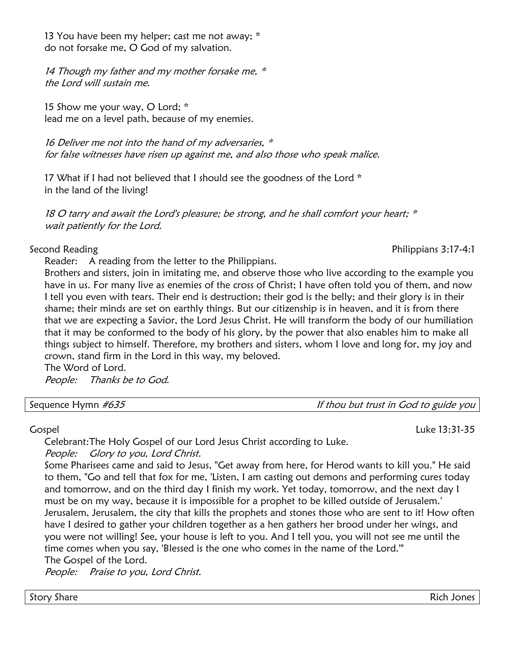13 You have been my helper; cast me not away; \* do not forsake me, O God of my salvation.

14 Though my father and my mother forsake me,  $*$ the Lord will sustain me.

15 Show me your way, O Lord; \* lead me on a level path, because of my enemies.

16 Deliver me not into the hand of my adversaries,  $*$ for false witnesses have risen up against me, and also those who speak malice.

17 What if I had not believed that I should see the goodness of the Lord \* in the land of the living!

18 O tarry and await the Lord's pleasure; be strong, and he shall comfort your heart; \* wait patiently for the Lord.

Reader: A reading from the letter to the Philippians.

Brothers and sisters, join in imitating me, and observe those who live according to the example you have in us. For many live as enemies of the cross of Christ; I have often told you of them, and now I tell you even with tears. Their end is destruction; their god is the belly; and their glory is in their shame; their minds are set on earthly things. But our citizenship is in heaven, and it is from there that we are expecting a Savior, the Lord Jesus Christ. He will transform the body of our humiliation that it may be conformed to the body of his glory, by the power that also enables him to make all things subject to himself. Therefore, my brothers and sisters, whom I love and long for, my joy and crown, stand firm in the Lord in this way, my beloved.

The Word of Lord. People: Thanks be to God.

Sequence Hymn  $\#635$  is the set of the sequence Hymn  $\#635$ 

### Gospel Luke 13:31-35

Celebrant:The Holy Gospel of our Lord Jesus Christ according to Luke.

People: Glory to you, Lord Christ.

Some Pharisees came and said to Jesus, "Get away from here, for Herod wants to kill you." He said to them, "Go and tell that fox for me, 'Listen, I am casting out demons and performing cures today and tomorrow, and on the third day I finish my work. Yet today, tomorrow, and the next day I must be on my way, because it is impossible for a prophet to be killed outside of Jerusalem.' Jerusalem, Jerusalem, the city that kills the prophets and stones those who are sent to it! How often have I desired to gather your children together as a hen gathers her brood under her wings, and you were not willing! See, your house is left to you. And I tell you, you will not see me until the time comes when you say, 'Blessed is the one who comes in the name of the Lord.'" The Gospel of the Lord.

People: Praise to you, Lord Christ.

Story Share Rich Jones (1989) - Story Share Rich Jones (1989) - Story Share Rich Jones (1989) - Story Share Rich Jones

Second Reading **Philippians 3:17-4:1**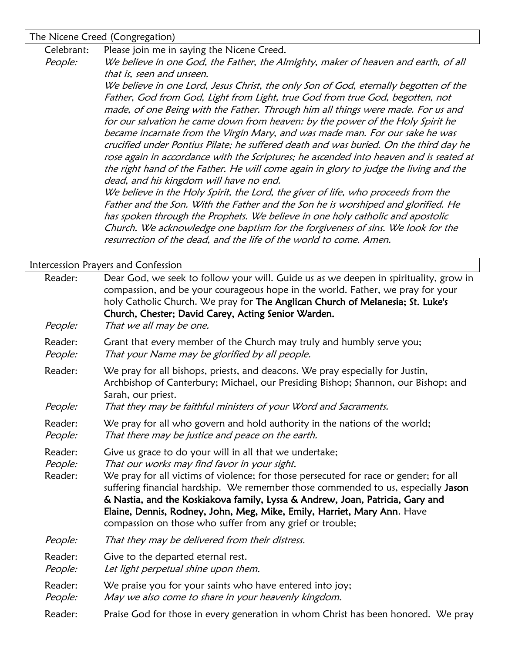The Nicene Creed (Congregation)

Celebrant: Please join me in saying the Nicene Creed.

People: We believe in one God, the Father, the Almighty, maker of heaven and earth, of all that is, seen and unseen.

> We believe in one Lord, Jesus Christ, the only Son of God, eternally begotten of the Father, God from God, Light from Light, true God from true God, begotten, not made, of one Being with the Father. Through him all things were made. For us and for our salvation he came down from heaven: by the power of the Holy Spirit he became incarnate from the Virgin Mary, and was made man. For our sake he was crucified under Pontius Pilate; he suffered death and was buried. On the third day he rose again in accordance with the Scriptures; he ascended into heaven and is seated at the right hand of the Father. He will come again in glory to judge the living and the dead, and his kingdom will have no end.

We believe in the Holy Spirit, the Lord, the giver of life, who proceeds from the Father and the Son. With the Father and the Son he is worshiped and glorified. He has spoken through the Prophets. We believe in one holy catholic and apostolic Church. We acknowledge one baptism for the forgiveness of sins. We look for the resurrection of the dead, and the life of the world to come. Amen.

|                               | Intercession Prayers and Confession                                                                                                                                                                                                                                                                                                                                                                                                                                                                            |  |
|-------------------------------|----------------------------------------------------------------------------------------------------------------------------------------------------------------------------------------------------------------------------------------------------------------------------------------------------------------------------------------------------------------------------------------------------------------------------------------------------------------------------------------------------------------|--|
| Reader:<br>People:            | Dear God, we seek to follow your will. Guide us as we deepen in spirituality, grow in<br>compassion, and be your courageous hope in the world. Father, we pray for your<br>holy Catholic Church. We pray for The Anglican Church of Melanesia; St. Luke's<br>Church, Chester; David Carey, Acting Senior Warden.<br>That we all may be one.                                                                                                                                                                    |  |
| Reader:<br>People:            | Grant that every member of the Church may truly and humbly serve you;<br>That your Name may be glorified by all people.                                                                                                                                                                                                                                                                                                                                                                                        |  |
| Reader:<br>People:            | We pray for all bishops, priests, and deacons. We pray especially for Justin,<br>Archbishop of Canterbury; Michael, our Presiding Bishop; Shannon, our Bishop; and<br>Sarah, our priest.<br>That they may be faithful ministers of your Word and Sacraments.                                                                                                                                                                                                                                                   |  |
| Reader:<br>People:            | We pray for all who govern and hold authority in the nations of the world;<br>That there may be justice and peace on the earth.                                                                                                                                                                                                                                                                                                                                                                                |  |
| Reader:<br>People:<br>Reader: | Give us grace to do your will in all that we undertake;<br>That our works may find favor in your sight.<br>We pray for all victims of violence; for those persecuted for race or gender; for all<br>suffering financial hardship. We remember those commended to us, especially Jason<br>& Nastia, and the Koskiakova family, Lyssa & Andrew, Joan, Patricia, Gary and<br>Elaine, Dennis, Rodney, John, Meg, Mike, Emily, Harriet, Mary Ann. Have<br>compassion on those who suffer from any grief or trouble; |  |
| People:                       | That they may be delivered from their distress.                                                                                                                                                                                                                                                                                                                                                                                                                                                                |  |
| Reader:<br>People:            | Give to the departed eternal rest.<br>Let light perpetual shine upon them.                                                                                                                                                                                                                                                                                                                                                                                                                                     |  |
| Reader:<br>People:            | We praise you for your saints who have entered into joy;<br>May we also come to share in your heavenly kingdom.                                                                                                                                                                                                                                                                                                                                                                                                |  |
| Reader:                       | Praise God for those in every generation in whom Christ has been honored. We pray                                                                                                                                                                                                                                                                                                                                                                                                                              |  |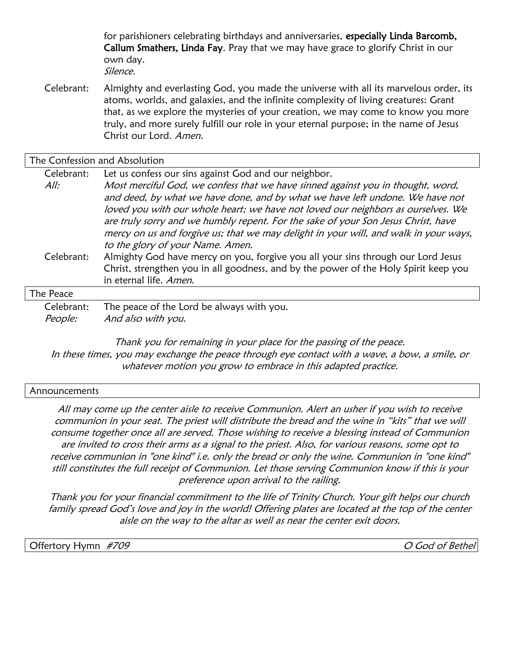for parishioners celebrating birthdays and anniversaries, especially Linda Barcomb, Callum Smathers, Linda Fay. Pray that we may have grace to glorify Christ in our own day. Silence.

Celebrant: Almighty and everlasting God, you made the universe with all its marvelous order, its atoms, worlds, and galaxies, and the infinite complexity of living creatures: Grant that, as we explore the mysteries of your creation, we may come to know you more truly, and more surely fulfill our role in your eternal purpose; in the name of Jesus Christ our Lord. Amen.

The Confession and Absolution Celebrant: Let us confess our sins against God and our neighbor. All: Most merciful God, we confess that we have sinned against you in thought, word, and deed, by what we have done, and by what we have left undone. We have not loved you with our whole heart; we have not loved our neighbors as ourselves. We are truly sorry and we humbly repent. For the sake of your Son Jesus Christ, have mercy on us and forgive us; that we may delight in your will, and walk in your ways, to the glory of your Name. Amen. Celebrant: Almighty God have mercy on you, forgive you all your sins through our Lord Jesus Christ, strengthen you in all goodness, and by the power of the Holy Spirit keep you in eternal life. Amen. The Peace Celebrant: The peace of the Lord be always with you. People: And also with you.

Thank you for remaining in your place for the passing of the peace. In these times, you may exchange the peace through eye contact with a wave, a bow, a smile, or whatever motion you grow to embrace in this adapted practice.

#### Announcements

All may come up the center aisle to receive Communion. Alert an usher if you wish to receive communion in your seat. The priest will distribute the bread and the wine in "kits" that we will consume together once all are served. Those wishing to receive a blessing instead of Communion are invited to cross their arms as a signal to the priest. Also, for various reasons, some opt to receive communion in "one kind" i.e. only the bread or only the wine. Communion in "one kind" still constitutes the full receipt of Communion. Let those serving Communion know if this is your preference upon arrival to the railing.

Thank you for your financial commitment to the life of Trinity Church. Your gift helps our church family spread God's love and joy in the world! Offering plates are located at the top of the center aisle on the way to the altar as well as near the center exit doors.

Offertory Hymn #709 O God of Bethel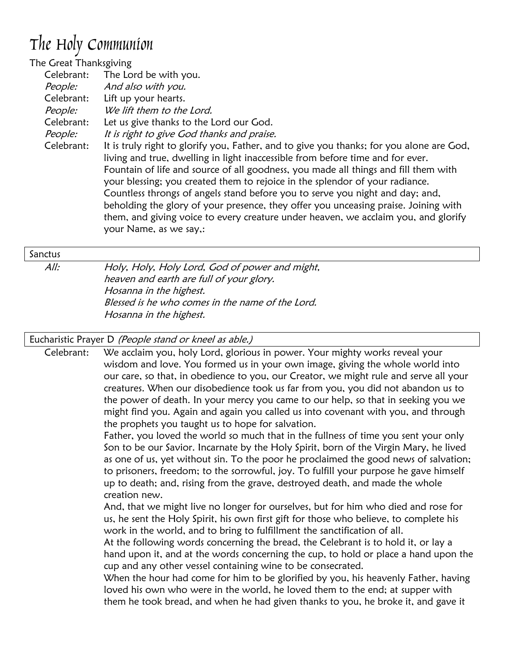## The Holy Communion

| The Great Thanksgiving |                                                                                                                                                                                                                                                                                                                                                                                                                                                                                                                                                                                                                                           |
|------------------------|-------------------------------------------------------------------------------------------------------------------------------------------------------------------------------------------------------------------------------------------------------------------------------------------------------------------------------------------------------------------------------------------------------------------------------------------------------------------------------------------------------------------------------------------------------------------------------------------------------------------------------------------|
| Celebrant:             | The Lord be with you.                                                                                                                                                                                                                                                                                                                                                                                                                                                                                                                                                                                                                     |
| People:                | And also with you.                                                                                                                                                                                                                                                                                                                                                                                                                                                                                                                                                                                                                        |
| Celebrant:             | Lift up your hearts.                                                                                                                                                                                                                                                                                                                                                                                                                                                                                                                                                                                                                      |
| People:                | We lift them to the Lord.                                                                                                                                                                                                                                                                                                                                                                                                                                                                                                                                                                                                                 |
| Celebrant:             | Let us give thanks to the Lord our God.                                                                                                                                                                                                                                                                                                                                                                                                                                                                                                                                                                                                   |
| People:                | It is right to give God thanks and praise.                                                                                                                                                                                                                                                                                                                                                                                                                                                                                                                                                                                                |
| Celebrant:             | It is truly right to glorify you, Father, and to give you thanks; for you alone are God,<br>living and true, dwelling in light inaccessible from before time and for ever.<br>Fountain of life and source of all goodness, you made all things and fill them with<br>your blessing; you created them to rejoice in the splendor of your radiance.<br>Countless throngs of angels stand before you to serve you night and day; and,<br>beholding the glory of your presence, they offer you unceasing praise. Joining with<br>them, and giving voice to every creature under heaven, we acclaim you, and glorify<br>your Name, as we say,: |
|                        |                                                                                                                                                                                                                                                                                                                                                                                                                                                                                                                                                                                                                                           |

#### Sanctus

All: Holy, Holy, Holy Lord, God of power and might, heaven and earth are full of your glory. Hosanna in the highest. Blessed is he who comes in the name of the Lord. Hosanna in the highest.

### Eucharistic Prayer D (People stand or kneel as able.)

Celebrant: We acclaim you, holy Lord, glorious in power. Your mighty works reveal your wisdom and love. You formed us in your own image, giving the whole world into our care, so that, in obedience to you, our Creator, we might rule and serve all your creatures. When our disobedience took us far from you, you did not abandon us to the power of death. In your mercy you came to our help, so that in seeking you we might find you. Again and again you called us into covenant with you, and through the prophets you taught us to hope for salvation.

Father, you loved the world so much that in the fullness of time you sent your only Son to be our Savior. Incarnate by the Holy Spirit, born of the Virgin Mary, he lived as one of us, yet without sin. To the poor he proclaimed the good news of salvation; to prisoners, freedom; to the sorrowful, joy. To fulfill your purpose he gave himself up to death; and, rising from the grave, destroyed death, and made the whole creation new.

And, that we might live no longer for ourselves, but for him who died and rose for us, he sent the Holy Spirit, his own first gift for those who believe, to complete his work in the world, and to bring to fulfillment the sanctification of all.

At the following words concerning the bread, the Celebrant is to hold it, or lay a hand upon it, and at the words concerning the cup, to hold or place a hand upon the cup and any other vessel containing wine to be consecrated.

When the hour had come for him to be glorified by you, his heavenly Father, having loved his own who were in the world, he loved them to the end; at supper with them he took bread, and when he had given thanks to you, he broke it, and gave it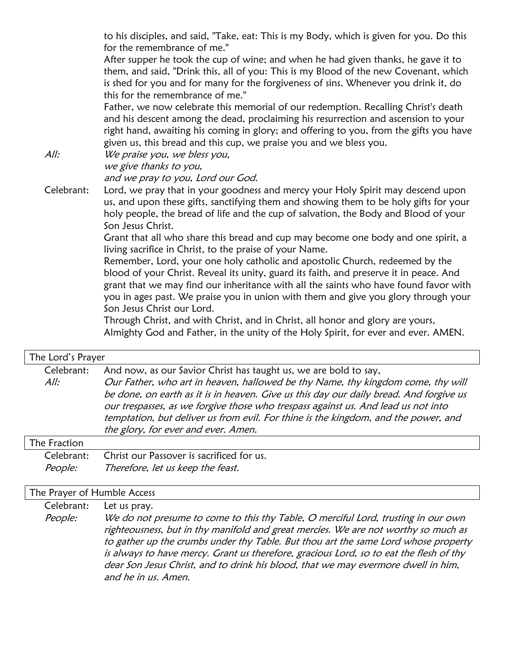to his disciples, and said, "Take, eat: This is my Body, which is given for you. Do this for the remembrance of me."

After supper he took the cup of wine; and when he had given thanks, he gave it to them, and said, "Drink this, all of you: This is my Blood of the new Covenant, which is shed for you and for many for the forgiveness of sins. Whenever you drink it, do this for the remembrance of me."

Father, we now celebrate this memorial of our redemption. Recalling Christ's death and his descent among the dead, proclaiming his resurrection and ascension to your right hand, awaiting his coming in glory; and offering to you, from the gifts you have given us, this bread and this cup, we praise you and we bless you.

All: We praise you, we bless you, we give thanks to you,

and we pray to you, Lord our God.

Celebrant: Lord, we pray that in your goodness and mercy your Holy Spirit may descend upon us, and upon these gifts, sanctifying them and showing them to be holy gifts for your holy people, the bread of life and the cup of salvation, the Body and Blood of your Son Jesus Christ.

> Grant that all who share this bread and cup may become one body and one spirit, a living sacrifice in Christ, to the praise of your Name.

Remember, Lord, your one holy catholic and apostolic Church, redeemed by the blood of your Christ. Reveal its unity, guard its faith, and preserve it in peace. And grant that we may find our inheritance with all the saints who have found favor with you in ages past. We praise you in union with them and give you glory through your Son Jesus Christ our Lord.

Through Christ, and with Christ, and in Christ, all honor and glory are yours, Almighty God and Father, in the unity of the Holy Spirit, for ever and ever. AMEN.

| The Lord's Prayer  |                                                                                                                                                                                                                                                                                                                                                                                                                                                                 |
|--------------------|-----------------------------------------------------------------------------------------------------------------------------------------------------------------------------------------------------------------------------------------------------------------------------------------------------------------------------------------------------------------------------------------------------------------------------------------------------------------|
| Celebrant:<br>All: | And now, as our Savior Christ has taught us, we are bold to say,<br>Our Father, who art in heaven, hallowed be thy Name, thy kingdom come, thy will<br>be done, on earth as it is in heaven. Give us this day our daily bread. And forgive us<br>our trespasses, as we forgive those who trespass against us. And lead us not into<br>temptation, but deliver us from evil. For thine is the kingdom, and the power, and<br>the glory, for ever and ever. Amen. |
| The Fraction       |                                                                                                                                                                                                                                                                                                                                                                                                                                                                 |
| Celebrant:         | Christ our Passover is sacrificed for us.                                                                                                                                                                                                                                                                                                                                                                                                                       |

| <i>People:</i> | Therefore, let us keep the feast. |
|----------------|-----------------------------------|
|                |                                   |

#### The Prayer of Humble Access

| Celebrant: | Let us pray. |
|------------|--------------|
|            |              |

People: We do not presume to come to this thy Table, O merciful Lord, trusting in our own righteousness, but in thy manifold and great mercies. We are not worthy so much as to gather up the crumbs under thy Table. But thou art the same Lord whose property is always to have mercy. Grant us therefore, gracious Lord, so to eat the flesh of thy dear Son Jesus Christ, and to drink his blood, that we may evermore dwell in him, and he in us. Amen.